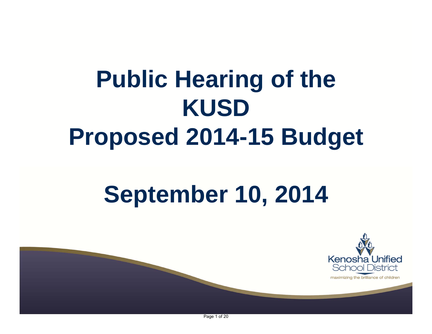# **Public Hearing of the KUSD Proposed 2014-15 Budget**

# **September 10, 2014**



maximizing the brilliance of children

Page 1 of 20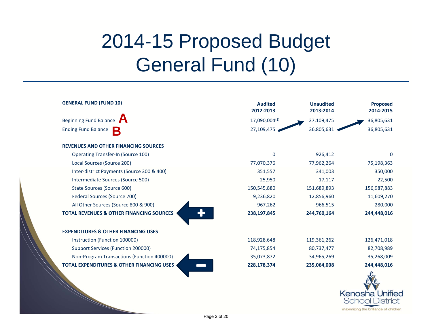# 2014-15 Proposed Budget General Fund (10)

| <b>GENERAL FUND (FUND 10)</b>                        | <b>Audited</b><br>2012-2013 | <b>Unaudited</b><br>2013-2014 | <b>Proposed</b><br>2014-2015 |
|------------------------------------------------------|-----------------------------|-------------------------------|------------------------------|
| <b>Beginning Fund Balance</b>                        | 17,090,004(1)               | 27,109,475                    | 36,805,631                   |
| <b>Ending Fund Balance</b><br>B                      | 27,109,475                  | 36,805,631                    | 36,805,631                   |
| <b>REVENUES AND OTHER FINANCING SOURCES</b>          |                             |                               |                              |
| <b>Operating Transfer-In (Source 100)</b>            | $\mathbf{0}$                | 926,412                       | $\Omega$                     |
| Local Sources (Source 200)                           | 77,070,376                  | 77,962,264                    | 75,198,363                   |
| Inter-district Payments (Source 300 & 400)           | 351,557                     | 341,003                       | 350,000                      |
| Intermediate Sources (Source 500)                    | 25,950                      | 17,117                        | 22,500                       |
| State Sources (Source 600)                           | 150,545,880                 | 151,689,893                   | 156,987,883                  |
| Federal Sources (Source 700)                         | 9,236,820                   | 12,856,960                    | 11,609,270                   |
| All Other Sources (Source 800 & 900)                 | 967,262                     | 966,515                       | 280,000                      |
| <b>TOTAL REVENUES &amp; OTHER FINANCING SOURCES</b>  | 238,197,845                 | 244,760,164                   | 244,448,016                  |
| <b>EXPENDITURES &amp; OTHER FINANCING USES</b>       |                             |                               |                              |
| Instruction (Function 100000)                        | 118,928,648                 | 119,361,262                   | 126,471,018                  |
| Support Services (Function 200000)                   | 74,175,854                  | 80,737,477                    | 82,708,989                   |
| Non-Program Transactions (Function 400000)           | 35,073,872                  | 34,965,269                    | 35,268,009                   |
| <b>TOTAL EXPENDITURES &amp; OTHER FINANCING USES</b> | 228,178,374                 | 235,064,008                   | 244,448,016                  |
|                                                      |                             |                               | Kenosha Unified              |

**School District** maximizing the brilliance of children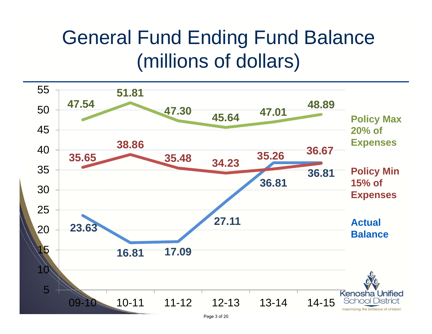# General Fund Ending Fund Balance (millions of dollars)

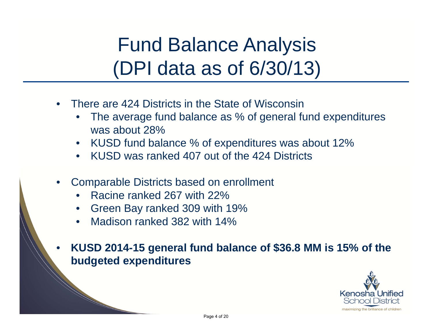# Fund Balance Analysis (DPI data as of 6/30/13)

- $\bullet$  There are 424 Districts in the State of Wisconsin
	- • The average fund balance as % of general fund expenditures was about 28%
	- •KUSD fund balance % of expenditures was about 12%
	- KUSD was ranked 407 out of the 424 Districts
- • Comparable Districts based on enrollment
	- Racine ranked 267 with 22%
	- Green Bay ranked 309 with 19%
	- Madison ranked 382 with 14%

• **KUSD 2014-15 general fund balance of \$36.8 MM is 15% of the budgeted expenditures**

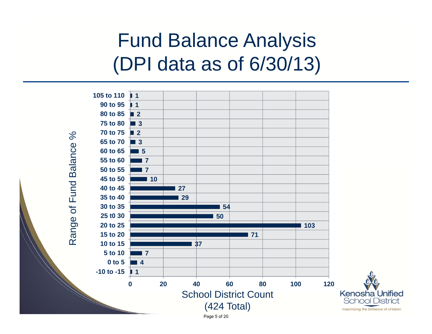# Fund Balance Analysis (DPI data as of 6/30/13)

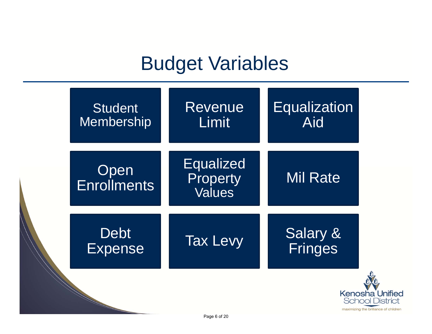### Budget Variables

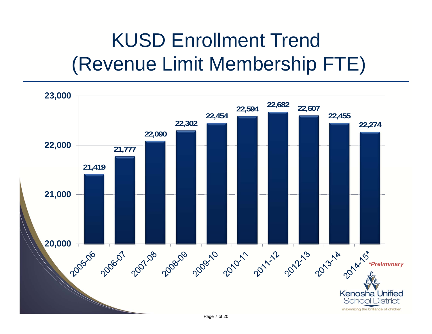# KUSD Enrollment Trend (Revenue Limit Membership FTE)

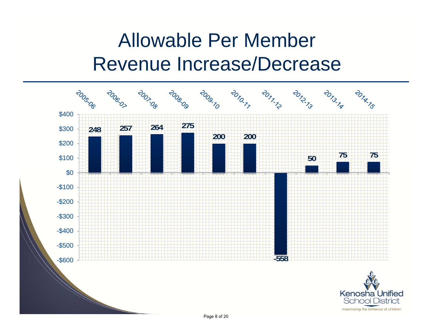# Allowable Per Member Revenue Increase/Decrease

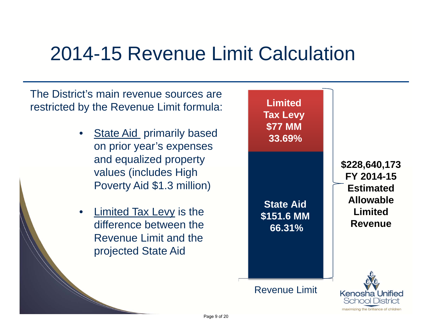### 2014-15 Revenue Limit Calculation

The District's main revenue sources are restricted by the Revenue Limit formula:

- •**State Aid primarily based** on prior year's expenses and equalized property values (includes High Poverty Aid \$1.3 million)
- •Limited Tax Levy is the difference between the Revenue Limit and the projected State Aid

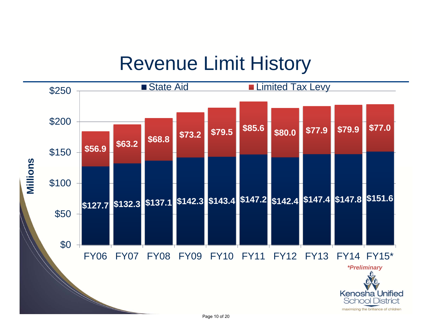### Revenue Limit History

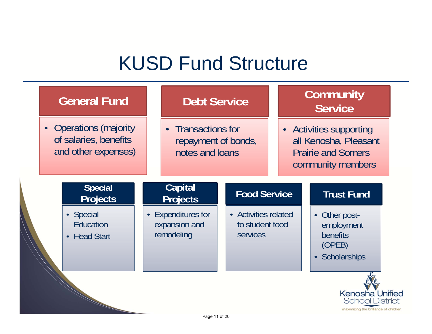# KUSD Fund Structure

| <b>General Fund</b>                                                    |           | <b>Debt Service</b>                                          |  |                                                                                                    |                   | Community<br><b>Service</b> |  |                                                                                           |  |
|------------------------------------------------------------------------|-----------|--------------------------------------------------------------|--|----------------------------------------------------------------------------------------------------|-------------------|-----------------------------|--|-------------------------------------------------------------------------------------------|--|
| • Operations (majority<br>of salaries, benefits<br>and other expenses) |           | • Transactions for<br>repayment of bonds,<br>notes and loans |  | • Activities supporting<br>all Kenosha, Pleasant<br><b>Prairie and Somers</b><br>community members |                   |                             |  |                                                                                           |  |
| <b>Special</b><br><b>Projects</b>                                      |           | <b>Capital</b><br><b>Food Service</b><br><b>Projects</b>     |  |                                                                                                    | <b>Trust Fund</b> |                             |  |                                                                                           |  |
| • Special<br><b>Education</b><br><b>Head Start</b><br>$\bullet$        | $\bullet$ | <b>Expenditures for</b><br>expansion and<br>remodeling       |  | • Activities related<br>to student food<br><b>services</b>                                         |                   |                             |  | Other post-<br>employment<br>benefits<br>(OPEB)<br>Scholarships                           |  |
|                                                                        |           | Page 11 of 20                                                |  |                                                                                                    |                   |                             |  | <b>Kenosha Unified</b><br><b>School District</b><br>maximizing the brilliance of children |  |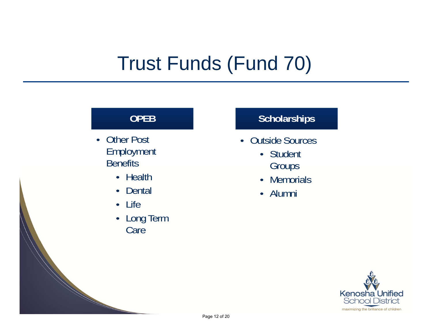# Trust Funds (Fund 70)

#### **OPEB**

- Other Post Employment **Benefits** 
	- Health
	- Dental
	- Life
	- Long Term Care

#### **Scholarships**

- Outside Sources
	- Student Groups
	- Memorials
	- Alumni

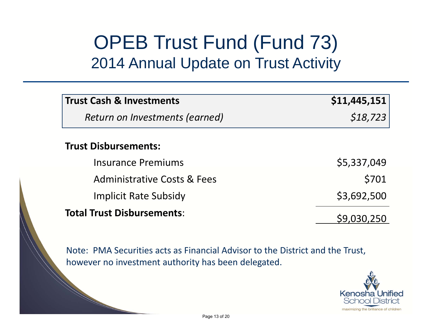### OPEB Trust Fund (Fund 73) 2014 Annual Update on Trust Activity

| <b>Trust Cash &amp; Investments</b>    | \$11,445,151 |
|----------------------------------------|--------------|
| Return on Investments (earned)         | \$18,723     |
| <b>Trust Disbursements:</b>            |              |
| <b>Insurance Premiums</b>              | \$5,337,049  |
| <b>Administrative Costs &amp; Fees</b> | \$701        |
| <b>Implicit Rate Subsidy</b>           | \$3,692,500  |
| <b>Total Trust Disbursements:</b>      |              |

Note: PMA Securities acts as Financial Advisor to the District and the Trust, however no investment authority has been delegated.

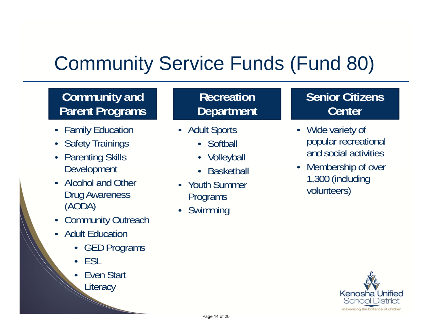# Community Service Funds (Fund 80)

#### **Community and Parent Programs**

- •Family Education
- •Safety Trainings
- • Parenting Skills Development
- Alcohol and Other Drug Awareness (AODA)
- •**Community Outreach**
- Adult Education
	- GED Programs
	- •**FSL**
	- • Even Start **Literacy**

#### **Recreation Department**

- Adult Sports
	- Softball
	- Volleyball
	- Basketball
- Youth Summer Programs
- •Swimming

#### **Senior Citizens Center**

- Wide variety of popular recreational and social activities
- • Membership of over 1,300 (including volunteers)

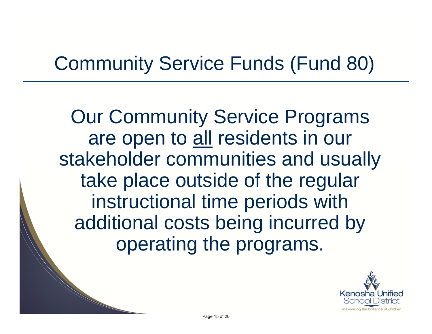# Community Service Funds (Fund 80)

Our Community Service Programs are open to all residents in our stakeholder communities and usually take place outside of the regular instructional time periods with additional costs being incurred by operating the programs.

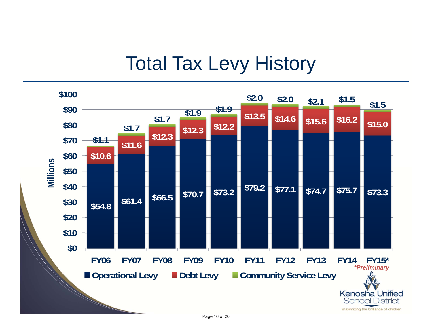### Total Tax Levy History

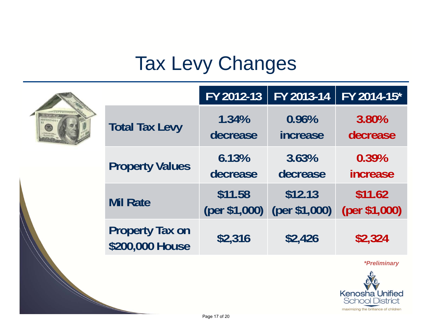# Tax Levy Changes

|  |                                           | FY 2012-13                 | FY 2013-14               | FY 2014-15*                                                                                               |
|--|-------------------------------------------|----------------------------|--------------------------|-----------------------------------------------------------------------------------------------------------|
|  | <b>Total Tax Levy</b>                     | 1.34%<br>decrease          | 0.96%<br>increase        | 3.80%<br>decrease                                                                                         |
|  | <b>Property Values</b>                    | 6.13%<br>decrease          | 3.63%<br>decrease        | 0.39%<br><i>increase</i>                                                                                  |
|  | <b>Mil Rate</b>                           | \$11.58<br>((per \$1,000)) | \$12.13<br>(per \$1,000) | \$11.62<br>(per \$1,000)                                                                                  |
|  | <b>Property Tax on</b><br>\$200,000 House | \$2,316                    | \$2,426                  | \$2,324                                                                                                   |
|  |                                           |                            |                          | <i>*Preliminary</i><br>Kenosha Unified<br><b>School District</b><br>maximizing the brilliance of children |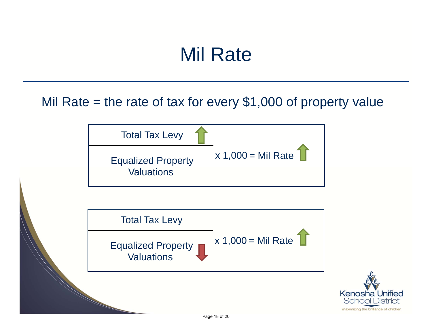### Mil Rate

Mil Rate  $=$  the rate of tax for every \$1,000 of property value

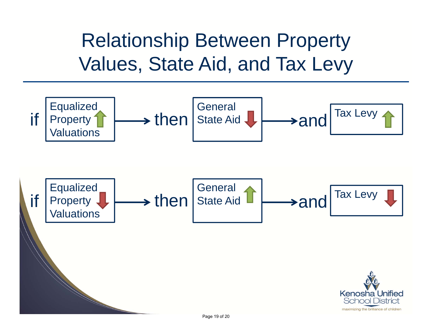Relationship Between Property Values, State Aid, and Tax Levy